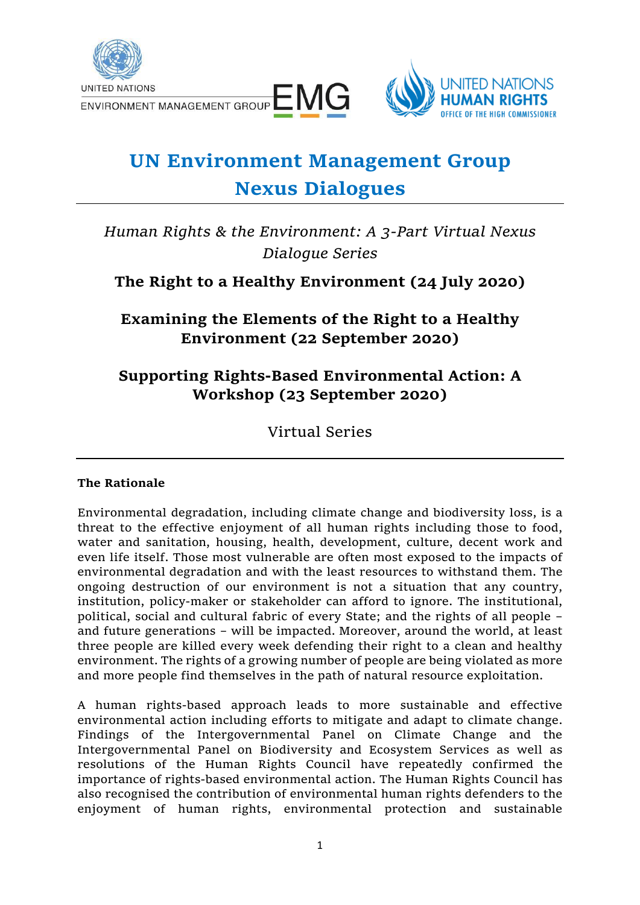

UNITED NATIONS<br>ENVIRONMENT MANAGEMENT GROUP E MG



# **UN Environment Management Group Nexus Dialogues**

*Human Rights & the Environment: A 3-Part Virtual Nexus Dialogue Series*

# **The Right to a Healthy Environment (24 July 2020)**

**Examining the Elements of the Right to a Healthy Environment (22 September 2020)**

# **Supporting Rights-Based Environmental Action: A Workshop (23 September 2020)**

Virtual Series

# **The Rationale**

Environmental degradation, including climate change and biodiversity loss, is a threat to the effective enjoyment of all human rights including those to food, water and sanitation, housing, health, development, culture, decent work and even life itself. Those most vulnerable are often most exposed to the impacts of environmental degradation and with the least resources to withstand them. The ongoing destruction of our environment is not a situation that any country, institution, policy-maker or stakeholder can afford to ignore. The institutional, political, social and cultural fabric of every State; and the rights of all people – and future generations – will be impacted. Moreover, around the world, at least three people are killed every week defending their right to a clean and healthy environment. The rights of a growing number of people are being violated as more and more people find themselves in the path of natural resource exploitation.

A human rights-based approach leads to more sustainable and effective environmental action including efforts to mitigate and adapt to climate change. Findings of the Intergovernmental Panel on Climate Change and the Intergovernmental Panel on Biodiversity and Ecosystem Services as well as resolutions of the Human Rights Council have repeatedly confirmed the importance of rights-based environmental action. The Human Rights Council has also recognised the contribution of environmental human rights defenders to the enjoyment of human rights, environmental protection and sustainable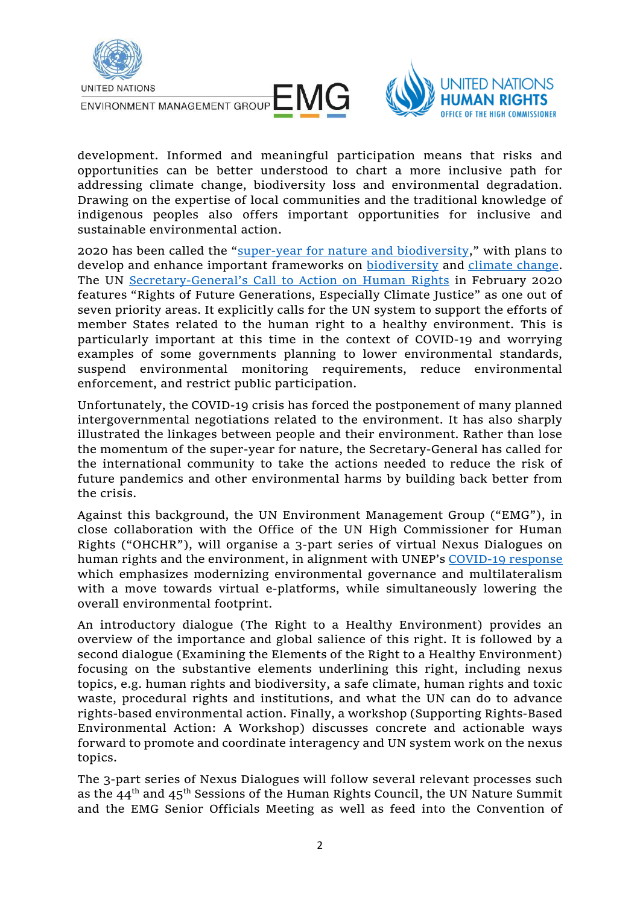



development. Informed and meaningful participation means that risks and opportunities can be better understood to chart a more inclusive path for addressing climate change, biodiversity loss and environmental degradation. Drawing on the expertise of local communities and the traditional knowledge of indigenous peoples also offers important opportunities for inclusive and sustainable environmental action.

2020 has been called the "[super-year for nature and biodiversity](https://www.unenvironment.org/news-and-stories/news/2020-super-year-nature-and-biodiversity)," with plans to develop and enhance important frameworks on [biodiversity](https://www.cbd.int/conferences/post2020) and [climate change.](https://sdg.iisd.org/events/2020-un-climate-change-conference-unfccc-cop-26/) The UN Secretary-General's [Call to Action on Human Rights](https://www.un.org/sg/sites/www.un.org.sg/files/atoms/files/The_Highest_Asperation_A_Call_To_Action_For_Human_Right_English.pdf) in February 2020 features "Rights of Future Generations, Especially Climate Justice" as one out of seven priority areas. It explicitly calls for the UN system to support the efforts of member States related to the human right to a healthy environment. This is particularly important at this time in the context of COVID-19 and worrying examples of some governments planning to lower environmental standards, suspend environmental monitoring requirements, reduce environmental enforcement, and restrict public participation.

Unfortunately, the COVID-19 crisis has forced the postponement of many planned intergovernmental negotiations related to the environment. It has also sharply illustrated the linkages between people and their environment. Rather than lose the momentum of the super-year for nature, the Secretary-General has called for the international community to take the actions needed to reduce the risk of future pandemics and other environmental harms by building back better from the crisis.

Against this background, the UN Environment Management Group ("EMG"), in close collaboration with the Office of the UN High Commissioner for Human Rights ("OHCHR"), will organise a 3-part series of virtual Nexus Dialogues on human rights and the environment, in alignment with UNEP's [COVID-19 response](https://wedocs.unep.org/bitstream/handle/20.500.11822/32218/UNEP_COVID.pdf?sequence=1&isAllowed=y) which emphasizes modernizing environmental governance and multilateralism with a move towards virtual e-platforms, while simultaneously lowering the overall environmental footprint.

An introductory dialogue (The Right to a Healthy Environment) provides an overview of the importance and global salience of this right. It is followed by a second dialogue (Examining the Elements of the Right to a Healthy Environment) focusing on the substantive elements underlining this right, including nexus topics, e.g. human rights and biodiversity, a safe climate, human rights and toxic waste, procedural rights and institutions, and what the UN can do to advance rights-based environmental action. Finally, a workshop (Supporting Rights-Based Environmental Action: A Workshop) discusses concrete and actionable ways forward to promote and coordinate interagency and UN system work on the nexus topics.

The 3-part series of Nexus Dialogues will follow several relevant processes such as the  $44<sup>th</sup>$  and  $45<sup>th</sup>$  Sessions of the Human Rights Council, the UN Nature Summit and the EMG Senior Officials Meeting as well as feed into the Convention of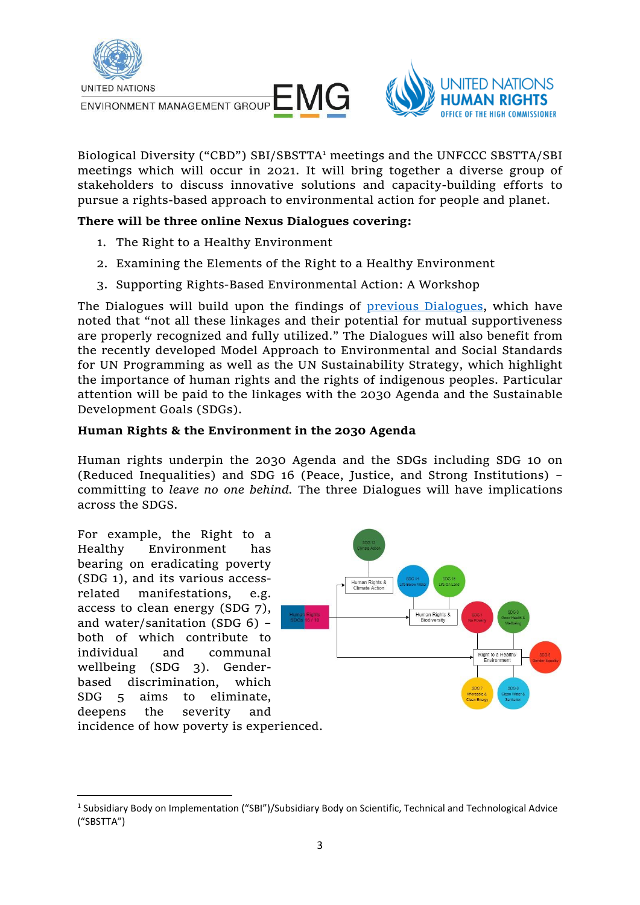



Biological Diversity ("CBD") SBI/SBSTTA<sup>1</sup> meetings and the UNFCCC SBSTTA/SBI meetings which will occur in 2021. It will bring together a diverse group of stakeholders to discuss innovative solutions and capacity-building efforts to pursue a rights-based approach to environmental action for people and planet.

#### **There will be three online Nexus Dialogues covering:**

- 1. The Right to a Healthy Environment
- 2. Examining the Elements of the Right to a Healthy Environment
- 3. Supporting Rights-Based Environmental Action: A Workshop

The Dialogues will build upon the findings of [previous Dialogues,](https://unemg.org/law-for-environmental-sustainability/) which have noted that "not all these linkages and their potential for mutual supportiveness are properly recognized and fully utilized." The Dialogues will also benefit from the recently developed Model Approach to Environmental and Social Standards for UN Programming as well as the UN Sustainability Strategy, which highlight the importance of human rights and the rights of indigenous peoples. Particular attention will be paid to the linkages with the 2030 Agenda and the Sustainable Development Goals (SDGs).

#### **Human Rights & the Environment in the 2030 Agenda**

Human rights underpin the 2030 Agenda and the SDGs including SDG 10 on (Reduced Inequalities) and SDG 16 (Peace, Justice, and Strong Institutions) – committing to *leave no one behind.* The three Dialogues will have implications across the SDGS.

For example, the Right to a Healthy Environment has bearing on eradicating poverty (SDG 1), and its various accessrelated manifestations, e.g. access to clean energy (SDG 7), and water/sanitation (SDG 6) – both of which contribute to individual and communal wellbeing (SDG 3). Genderbased discrimination, which SDG 5 aims to eliminate, deepens the severity and incidence of how poverty is experienced.



<sup>&</sup>lt;sup>1</sup> Subsidiary Body on Implementation ("SBI")/Subsidiary Body on Scientific, Technical and Technological Advice ("SBSTTA")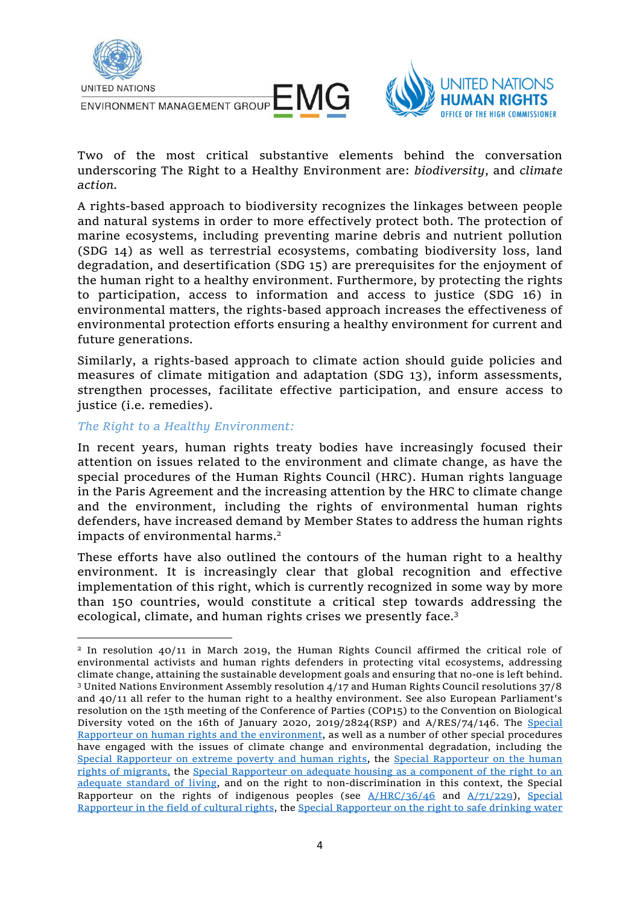



Two of the most critical substantive elements behind the conversation underscoring The Right to a Healthy Environment are: *biodiversity*, and *climate action.*

A rights-based approach to biodiversity recognizes the linkages between people and natural systems in order to more effectively protect both. The protection of marine ecosystems, including preventing marine debris and nutrient pollution (SDG 14) as well as terrestrial ecosystems, combating biodiversity loss, land degradation, and desertification (SDG 15) are prerequisites for the enjoyment of the human right to a healthy environment. Furthermore, by protecting the rights to participation, access to information and access to justice (SDG 16) in environmental matters, the rights-based approach increases the effectiveness of environmental protection efforts ensuring a healthy environment for current and future generations.

Similarly, a rights-based approach to climate action should guide policies and measures of climate mitigation and adaptation (SDG 13), inform assessments, strengthen processes, facilitate effective participation, and ensure access to justice (i.e. remedies).

#### *The Right to a Healthy Environment:*

In recent years, human rights treaty bodies have increasingly focused their attention on issues related to the environment and climate change, as have the special procedures of the Human Rights Council (HRC). Human rights language in the Paris Agreement and the increasing attention by the HRC to climate change and the environment, including the rights of environmental human rights defenders, have increased demand by Member States to address the human rights impacts of environmental harms.<sup>2</sup>

These efforts have also outlined the contours of the human right to a healthy environment. It is increasingly clear that global recognition and effective implementation of this right, which is currently recognized in some way by more than 150 countries, would constitute a critical step towards addressing the ecological, climate, and human rights crises we presently face.<sup>3</sup>

<sup>2</sup> In resolution 40/11 in March 2019, the Human Rights Council affirmed the critical role of environmental activists and human rights defenders in protecting vital ecosystems, addressing climate change, attaining the sustainable development goals and ensuring that no-one is left behind. <sup>3</sup> United Nations Environment Assembly resolution 4/17 and Human Rights Council resolutions 37/8 and 40/11 all refer to the human right to a healthy environment. See also European Parliament's resolution on the 15th meeting of the Conference of Parties (COP15) to the Convention on Biological Diversity voted on the 16th of January 2020, 2019/2824(RSP) and A/RES/74/146. The Special [Rapporteur on human rights and the environment,](https://www.ohchr.org/EN/Issues/Environment/SREnvironment/Pages/SRenvironmentIndex.aspx) as well as a number of other special procedures have engaged with the issues of climate change and environmental degradation, including the [Special Rapporteur on extreme poverty and human rights,](https://undocs.org/A/HRC/41/39) the [Special Rapporteur on the human](https://undocs.org/A/67/299)  [rights of migrants,](https://undocs.org/A/67/299) the [Special Rapporteur on adequate housing as a component of the right to an](https://undocs.org/A/64/255)  [adequate standard of living,](https://undocs.org/A/64/255) and on the right to non-discrimination in this context, the Special Rapporteur on the rights of indigenous peoples (see  $A/HRC/36/46$  and  $A/71/229$ ), Special [Rapporteur in the field of cultural rights,](https://www.ohchr.org/EN/NewsEvents/Pages/DisplayNews.aspx?NewsID=25035&LangID=E) th[e Special Rapporteur on the right to safe drinking water](https://www.ohchr.org/Documents/Issues/Water/Climate_Change_Right_Water_Sanitation.pdf)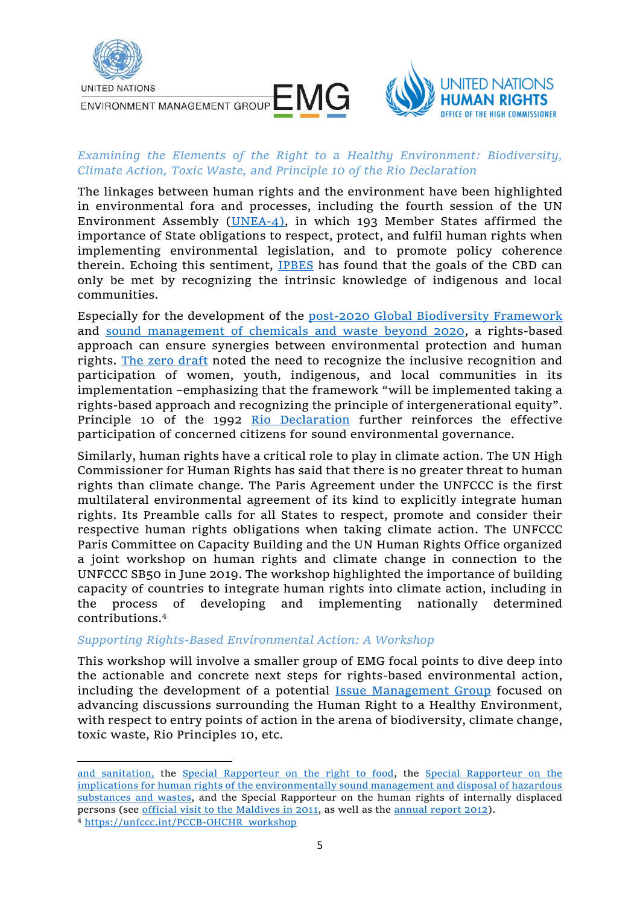



### *Examining the Elements of the Right to a Healthy Environment: Biodiversity, Climate Action, Toxic Waste, and Principle 10 of the Rio Declaration*

The linkages between human rights and the environment have been highlighted in environmental fora and processes, including the fourth session of the UN Environment Assembly [\(UNEA-4\)](http://wedocs.unep.org/bitstream/handle/20.500.11822/28481/English.pdf?sequence=3&isAllowed=y), in which 193 Member States affirmed the importance of State obligations to respect, protect, and fulfil human rights when implementing environmental legislation, and to promote policy coherence therein. Echoing this sentiment, **IPBES** has found that the goals of the CBD can only be met by recognizing the intrinsic knowledge of indigenous and local communities.

Especially for the development of the [post-2020 Global](https://www.cbd.int/conferences/post2020) Biodiversity Framework and [sound management of chemicals and waste](http://www.saicm.org/Beyond2020/IntersessionalProcess/tabid/5500/Default.aspx) beyond 2020, a rights-based approach can ensure synergies between environmental protection and human rights. [The zero draft](https://www.cbd.int/doc/c/da8c/9e95/9e9db02aaf68c018c758ff14/wg2020-02-03-en.pdf) noted the need to recognize the inclusive recognition and participation of women, youth, indigenous, and local communities in its implementation –emphasizing that the framework "will be implemented taking a rights-based approach and recognizing the principle of intergenerational equity". Principle 10 of the 1992 [Rio Declaration](https://www.un.org/en/development/desa/population/migration/generalassembly/docs/globalcompact/A_CONF.151_26_Vol.I_Declaration.pdf) further reinforces the effective participation of concerned citizens for sound environmental governance.

Similarly, human rights have a critical role to play in climate action. The UN High Commissioner for Human Rights has said that there is no greater threat to human rights than climate change. The Paris Agreement under the UNFCCC is the first multilateral environmental agreement of its kind to explicitly integrate human rights. Its Preamble calls for all States to respect, promote and consider their respective human rights obligations when taking climate action. The UNFCCC Paris Committee on Capacity Building and the UN Human Rights Office organized a joint workshop on human rights and climate change in connection to the UNFCCC SB50 in June 2019. The workshop highlighted the importance of building capacity of countries to integrate human rights into climate action, including in the process of developing and implementing nationally determined contributions.<sup>4</sup>

#### *Supporting Rights-Based Environmental Action: A Workshop*

This workshop will involve a smaller group of EMG focal points to dive deep into the actionable and concrete next steps for rights-based environmental action, including the development of a potential [Issue Management Group](https://unemg.org/category/issue-management-groups/) focused on advancing discussions surrounding the Human Right to a Healthy Environment, with respect to entry points of action in the arena of biodiversity, climate change, toxic waste, Rio Principles 10, etc.

[and sanitation,](https://www.ohchr.org/Documents/Issues/Water/Climate_Change_Right_Water_Sanitation.pdf) the [Special Rapporteur on the right to food,](https://undocs.org/A/HRC/16/49) the [Special Rapporteur on the](https://www.ohchr.org/EN/Issues/Environment/ToxicWastes/Pages/SRToxicWastesIndex.aspx)  [implications for human rights of the environmentally sound management and disposal of hazardous](https://www.ohchr.org/EN/Issues/Environment/ToxicWastes/Pages/SRToxicWastesIndex.aspx)  [substances and wastes,](https://www.ohchr.org/EN/Issues/Environment/ToxicWastes/Pages/SRToxicWastesIndex.aspx) and the Special Rapporteur on the human rights of internally displaced persons (see [official visit to the Maldives in 2011,](https://undocs.org/A/HRC/19/54/Add.1) as well as the [annual report 2012\)](https://undocs.org/A/HRC/19/54). <sup>4</sup> [https://unfccc.int/PCCB-OHCHR\\_workshop](https://unfccc.int/PCCB-OHCHR_workshop)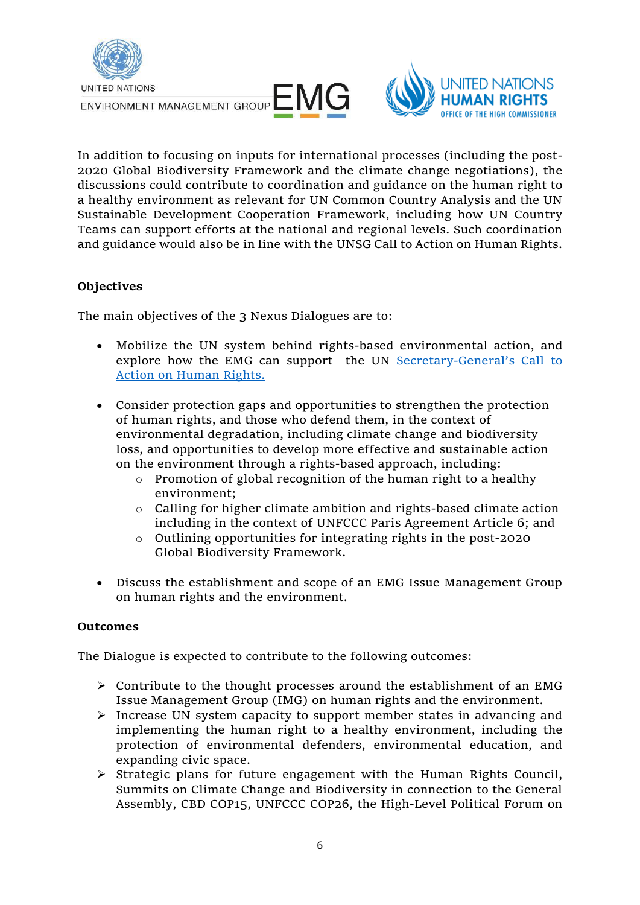



In addition to focusing on inputs for international processes (including the post-2020 Global Biodiversity Framework and the climate change negotiations), the discussions could contribute to coordination and guidance on the human right to a healthy environment as relevant for UN Common Country Analysis and the UN Sustainable Development Cooperation Framework, including how UN Country Teams can support efforts at the national and regional levels. Such coordination and guidance would also be in line with the UNSG Call to Action on Human Rights.

# **Objectives**

The main objectives of the 3 Nexus Dialogues are to:

- Mobilize the UN system behind rights-based environmental action, and explore how the EMG can support the UN Secretary-[General's Call to](https://www.un.org/sg/sites/www.un.org.sg/files/atoms/files/The_Highest_Asperation_A_Call_To_Action_For_Human_Right_English.pdf)  [Action on Human Rights.](https://www.un.org/sg/sites/www.un.org.sg/files/atoms/files/The_Highest_Asperation_A_Call_To_Action_For_Human_Right_English.pdf)
- Consider protection gaps and opportunities to strengthen the protection of human rights, and those who defend them, in the context of environmental degradation, including climate change and biodiversity loss, and opportunities to develop more effective and sustainable action on the environment through a rights-based approach, including:
	- o Promotion of global recognition of the human right to a healthy environment;
	- o Calling for higher climate ambition and rights-based climate action including in the context of UNFCCC Paris Agreement Article 6; and
	- o Outlining opportunities for integrating rights in the post-2020 Global Biodiversity Framework.
- Discuss the establishment and scope of an EMG Issue Management Group on human rights and the environment.

#### **Outcomes**

The Dialogue is expected to contribute to the following outcomes:

- ➢ Contribute to the thought processes around the establishment of an EMG Issue Management Group (IMG) on human rights and the environment.
- ➢ Increase UN system capacity to support member states in advancing and implementing the human right to a healthy environment, including the protection of environmental defenders, environmental education, and expanding civic space.
- ➢ Strategic plans for future engagement with the Human Rights Council, Summits on Climate Change and Biodiversity in connection to the General Assembly, CBD COP15, UNFCCC COP26, the High-Level Political Forum on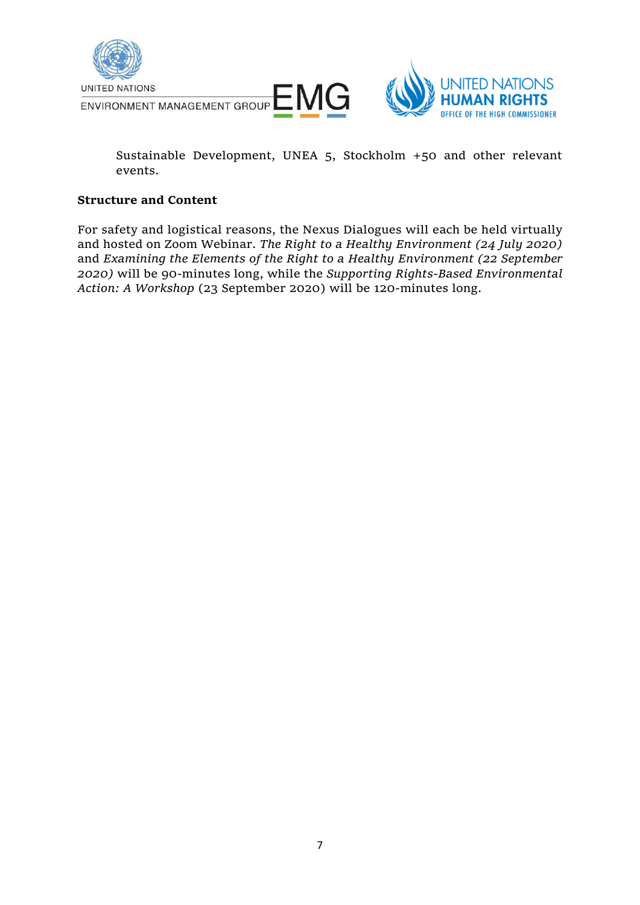



Sustainable Development, UNEA 5, Stockholm +50 and other relevant events.

#### **Structure and Content**

For safety and logistical reasons, the Nexus Dialogues will each be held virtually and hosted on Zoom Webinar. *The Right to a Healthy Environment (24 July 2020)* and *Examining the Elements of the Right to a Healthy Environment (22 September 2020)* will be 90-minutes long, while the *Supporting Rights-Based Environmental Action: A Workshop* (23 September 2020) will be 120-minutes long.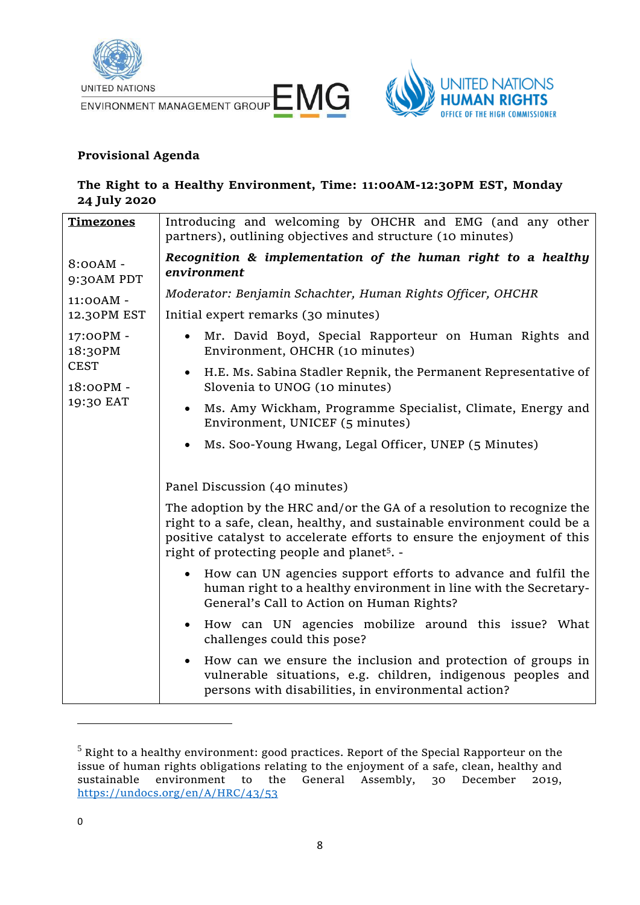



# **Provisional Agenda**

# **The Right to a Healthy Environment, Time: 11:00AM-12:30PM EST, Monday 24 July 2020**

| <b>Timezones</b>                                              | Introducing and welcoming by OHCHR and EMG (and any other<br>partners), outlining objectives and structure (10 minutes)                                                                                                                                                                |
|---------------------------------------------------------------|----------------------------------------------------------------------------------------------------------------------------------------------------------------------------------------------------------------------------------------------------------------------------------------|
| 8:00AM -<br>9:30AM PDT                                        | Recognition & implementation of the human right to a healthy<br>environment                                                                                                                                                                                                            |
| 11:00AM -<br>12.30PM EST                                      | Moderator: Benjamin Schachter, Human Rights Officer, OHCHR<br>Initial expert remarks (30 minutes)                                                                                                                                                                                      |
| 17:00PM -<br>18:30PM<br><b>CEST</b><br>18:00PM -<br>19:30 EAT | Mr. David Boyd, Special Rapporteur on Human Rights and<br>$\bullet$<br>Environment, OHCHR (10 minutes)                                                                                                                                                                                 |
|                                                               | H.E. Ms. Sabina Stadler Repnik, the Permanent Representative of<br>$\bullet$<br>Slovenia to UNOG (10 minutes)                                                                                                                                                                          |
|                                                               | Ms. Amy Wickham, Programme Specialist, Climate, Energy and<br>$\bullet$<br>Environment, UNICEF (5 minutes)                                                                                                                                                                             |
|                                                               | Ms. Soo-Young Hwang, Legal Officer, UNEP (5 Minutes)                                                                                                                                                                                                                                   |
|                                                               | Panel Discussion (40 minutes)                                                                                                                                                                                                                                                          |
|                                                               | The adoption by the HRC and/or the GA of a resolution to recognize the<br>right to a safe, clean, healthy, and sustainable environment could be a<br>positive catalyst to accelerate efforts to ensure the enjoyment of this<br>right of protecting people and planet <sup>5</sup> . - |
|                                                               | How can UN agencies support efforts to advance and fulfil the<br>$\bullet$<br>human right to a healthy environment in line with the Secretary-<br>General's Call to Action on Human Rights?                                                                                            |
|                                                               | How can UN agencies mobilize around this issue? What<br>$\bullet$<br>challenges could this pose?                                                                                                                                                                                       |
|                                                               | How can we ensure the inclusion and protection of groups in<br>$\bullet$<br>vulnerable situations, e.g. children, indigenous peoples and<br>persons with disabilities, in environmental action?                                                                                        |

 $<sup>5</sup>$  Right to a healthy environment: good practices. Report of the Special Rapporteur on the</sup> issue of human rights obligations relating to the enjoyment of a safe, clean, healthy and sustainable environment to the General Assembly, 30 December 2019, <https://undocs.org/en/A/HRC/43/53>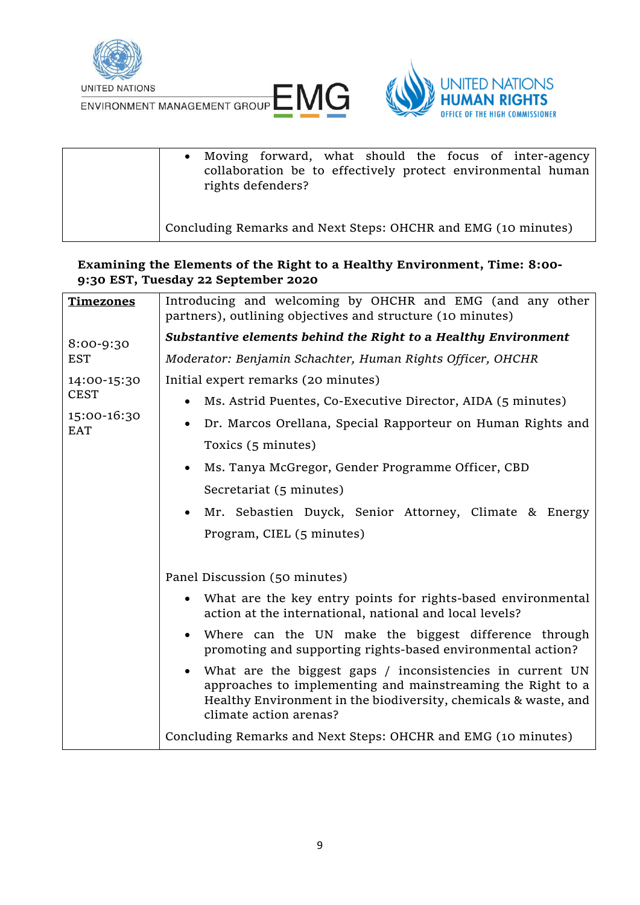

UNITED NATIONS<br>ENVIRONMENT MANAGEMENT GROUP LANG



| • Moving forward, what should the focus of inter-agency<br>collaboration be to effectively protect environmental human<br>rights defenders? |
|---------------------------------------------------------------------------------------------------------------------------------------------|
| Concluding Remarks and Next Steps: OHCHR and EMG (10 minutes)                                                                               |

**Examining the Elements of the Right to a Healthy Environment, Time: 8:00- 9:30 EST, Tuesday 22 September 2020**

| <b>Timezones</b>                                        | Introducing and welcoming by OHCHR and EMG (and any other<br>partners), outlining objectives and structure (10 minutes)                                                                                                 |
|---------------------------------------------------------|-------------------------------------------------------------------------------------------------------------------------------------------------------------------------------------------------------------------------|
| 8:00-9:30                                               | Substantive elements behind the Right to a Healthy Environment                                                                                                                                                          |
| <b>EST</b>                                              | Moderator: Benjamin Schachter, Human Rights Officer, OHCHR                                                                                                                                                              |
| 14:00-15:30<br><b>CEST</b><br>15:00-16:30<br><b>EAT</b> | Initial expert remarks (20 minutes)                                                                                                                                                                                     |
|                                                         | Ms. Astrid Puentes, Co-Executive Director, AIDA (5 minutes)                                                                                                                                                             |
|                                                         | Dr. Marcos Orellana, Special Rapporteur on Human Rights and                                                                                                                                                             |
|                                                         | Toxics (5 minutes)                                                                                                                                                                                                      |
|                                                         | Ms. Tanya McGregor, Gender Programme Officer, CBD<br>$\bullet$                                                                                                                                                          |
|                                                         | Secretariat (5 minutes)                                                                                                                                                                                                 |
|                                                         | Mr. Sebastien Duyck, Senior Attorney, Climate & Energy<br>$\bullet$                                                                                                                                                     |
|                                                         | Program, CIEL (5 minutes)                                                                                                                                                                                               |
|                                                         |                                                                                                                                                                                                                         |
|                                                         | Panel Discussion (50 minutes)                                                                                                                                                                                           |
|                                                         | • What are the key entry points for rights-based environmental<br>action at the international, national and local levels?                                                                                               |
|                                                         | • Where can the UN make the biggest difference through<br>promoting and supporting rights-based environmental action?                                                                                                   |
|                                                         | • What are the biggest gaps / inconsistencies in current UN<br>approaches to implementing and mainstreaming the Right to a<br>Healthy Environment in the biodiversity, chemicals & waste, and<br>climate action arenas? |
|                                                         | Concluding Remarks and Next Steps: OHCHR and EMG (10 minutes)                                                                                                                                                           |